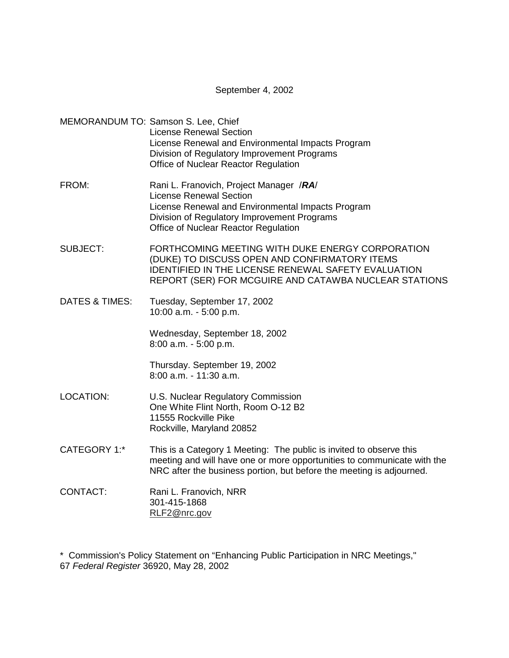## September 4, 2002

MEMORANDUM TO: Samson S. Lee, Chief License Renewal Section License Renewal and Environmental Impacts Program Division of Regulatory Improvement Programs Office of Nuclear Reactor Regulation

- FROM: Rani L. Franovich, Project Manager /**RA**/ License Renewal Section License Renewal and Environmental Impacts Program Division of Regulatory Improvement Programs Office of Nuclear Reactor Regulation
- SUBJECT: FORTHCOMING MEETING WITH DUKE ENERGY CORPORATION (DUKE) TO DISCUSS OPEN AND CONFIRMATORY ITEMS IDENTIFIED IN THE LICENSE RENEWAL SAFETY EVALUATION REPORT (SER) FOR MCGUIRE AND CATAWBA NUCLEAR STATIONS
- DATES & TIMES: Tuesday, September 17, 2002 10:00 a.m. - 5:00 p.m.

Wednesday, September 18, 2002 8:00 a.m. - 5:00 p.m.

Thursday. September 19, 2002 8:00 a.m. - 11:30 a.m.

- LOCATION: U.S. Nuclear Regulatory Commission One White Flint North, Room O-12 B2 11555 Rockville Pike Rockville, Maryland 20852
- CATEGORY 1:\* This is a Category 1 Meeting: The public is invited to observe this meeting and will have one or more opportunities to communicate with the NRC after the business portion, but before the meeting is adjourned.
- CONTACT: Rani L. Franovich, NRR 301-415-1868 RLF2@nrc.gov

\* Commission's Policy Statement on "Enhancing Public Participation in NRC Meetings," 67 Federal Register 36920, May 28, 2002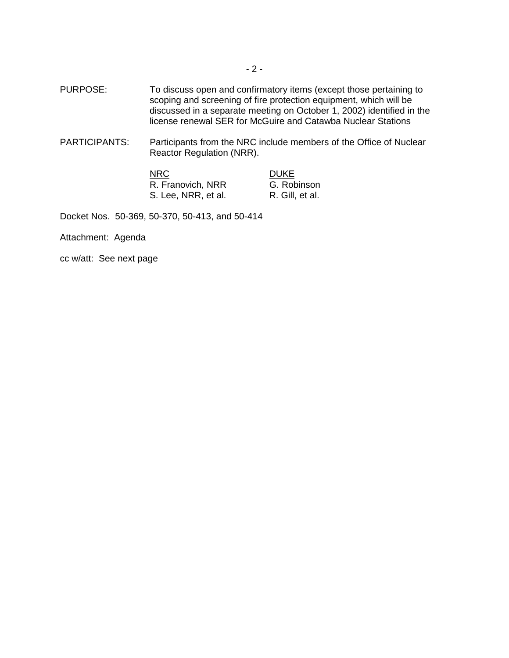- PURPOSE: To discuss open and confirmatory items (except those pertaining to scoping and screening of fire protection equipment, which will be discussed in a separate meeting on October 1, 2002) identified in the license renewal SER for McGuire and Catawba Nuclear Stations
- PARTICIPANTS: Participants from the NRC include members of the Office of Nuclear Reactor Regulation (NRR).

| <b>NRC</b>          | <b>DUKE</b>     |
|---------------------|-----------------|
| R. Franovich, NRR   | G. Robinson     |
| S. Lee, NRR, et al. | R. Gill, et al. |

Docket Nos. 50-369, 50-370, 50-413, and 50-414

Attachment: Agenda

cc w/att: See next page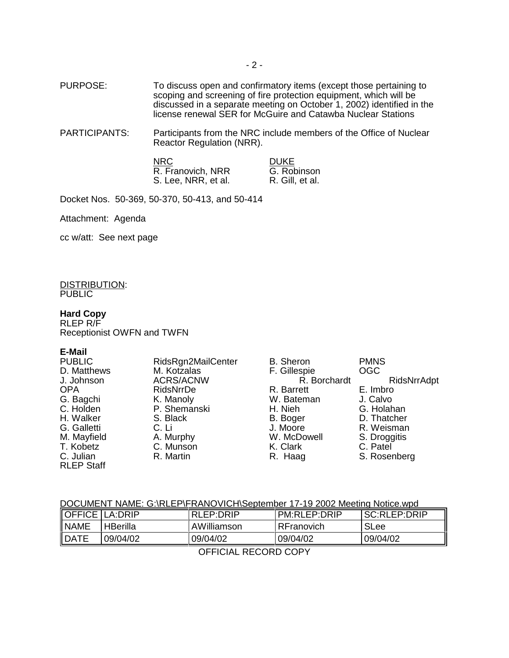PURPOSE: To discuss open and confirmatory items (except those pertaining to scoping and screening of fire protection equipment, which will be discussed in a separate meeting on October 1, 2002) identified in the license renewal SER for McGuire and Catawba Nuclear Stations

PARTICIPANTS: Participants from the NRC include members of the Office of Nuclear Reactor Regulation (NRR).

> **NRC**<br>
> R. Franovich, NRR
> B. G. Robinson R. Franovich, NRR G. Robinson<br>S. Lee, NRR, et al. R. Gill, et al. S. Lee, NRR, et al.

Docket Nos. 50-369, 50-370, 50-413, and 50-414

Attachment: Agenda

cc w/att: See next page

DISTRIBUTION: **PUBLIC** 

#### **Hard Copy**

RLEP R/F Receptionist OWFN and TWFN

#### **E-Mail**

| <b>PUBLIC</b>     | RidsRgn2MailCenter | <b>B.</b> Sheron | <b>PMNS</b>  |
|-------------------|--------------------|------------------|--------------|
| D. Matthews       | M. Kotzalas        | F. Gillespie     | <b>OGC</b>   |
| J. Johnson        | <b>ACRS/ACNW</b>   | R. Borchardt     | RidsNrrAdpt  |
| <b>OPA</b>        | RidsNrrDe          | R. Barrett       | E. Imbro     |
| G. Bagchi         | K. Manoly          | W. Bateman       | J. Calvo     |
| C. Holden         | P. Shemanski       | H. Nieh          | G. Holahan   |
| H. Walker         | S. Black           | B. Boger         | D. Thatcher  |
| G. Galletti       | C. Li              | J. Moore         | R. Weisman   |
| M. Mayfield       | A. Murphy          | W. McDowell      | S. Droggitis |
| T. Kobetz         | C. Munson          | K. Clark         | C. Patel     |
| C. Julian         | R. Martin          | R. Haag          | S. Rosenberg |
| <b>RLEP Staff</b> |                    |                  |              |

# DOCUMENT NAME: G:\RLEP\FRANOVICH\September 17-19 2002 Meeting Notice.wpd

| <b>OFFICE LA:DRIP</b> |                 | RLEP:DRIP   | <b>PM:RLEP:DRIP</b> | SC:RLEP:DRIP |
|-----------------------|-----------------|-------------|---------------------|--------------|
| <b>NAME</b>           | <b>HBerilla</b> | AWilliamson | RFranovich          | <b>SLee</b>  |
| <b>DATE</b>           | 09/04/02        | 09/04/02    | 09/04/02            | 09/04/02     |
| AFFIAINI DEAADD AADV  |                 |             |                     |              |

OFFICIAL RECORD COPY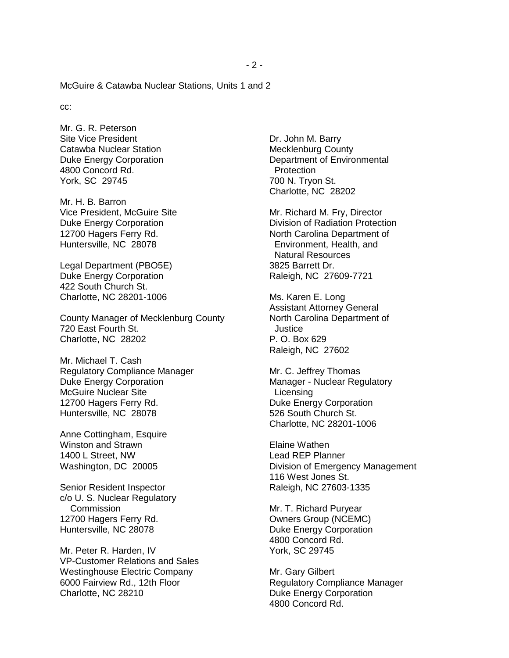McGuire & Catawba Nuclear Stations, Units 1 and 2

cc:

Mr. G. R. Peterson Site Vice President Catawba Nuclear Station Duke Energy Corporation 4800 Concord Rd. York, SC 29745

Mr. H. B. Barron Vice President, McGuire Site Duke Energy Corporation 12700 Hagers Ferry Rd. Huntersville, NC 28078

Legal Department (PBO5E) Duke Energy Corporation 422 South Church St. Charlotte, NC 28201-1006

County Manager of Mecklenburg County 720 East Fourth St. Charlotte, NC 28202

Mr. Michael T. Cash Regulatory Compliance Manager Duke Energy Corporation McGuire Nuclear Site 12700 Hagers Ferry Rd. Huntersville, NC 28078

Anne Cottingham, Esquire Winston and Strawn 1400 L Street, NW Washington, DC 20005

Senior Resident Inspector c/o U. S. Nuclear Regulatory **Commission** 12700 Hagers Ferry Rd. Huntersville, NC 28078

Mr. Peter R. Harden, IV VP-Customer Relations and Sales Westinghouse Electric Company 6000 Fairview Rd., 12th Floor Charlotte, NC 28210

Dr. John M. Barry Mecklenburg County Department of Environmental **Protection** 700 N. Tryon St. Charlotte, NC 28202

Mr. Richard M. Fry, Director Division of Radiation Protection North Carolina Department of Environment, Health, and Natural Resources 3825 Barrett Dr. Raleigh, NC 27609-7721

Ms. Karen E. Long Assistant Attorney General North Carolina Department of Justice P. O. Box 629 Raleigh, NC 27602

Mr. C. Jeffrey Thomas Manager - Nuclear Regulatory **Licensing** Duke Energy Corporation 526 South Church St. Charlotte, NC 28201-1006

Elaine Wathen Lead REP Planner Division of Emergency Management 116 West Jones St. Raleigh, NC 27603-1335

Mr. T. Richard Puryear Owners Group (NCEMC) Duke Energy Corporation 4800 Concord Rd. York, SC 29745

Mr. Gary Gilbert Regulatory Compliance Manager Duke Energy Corporation 4800 Concord Rd.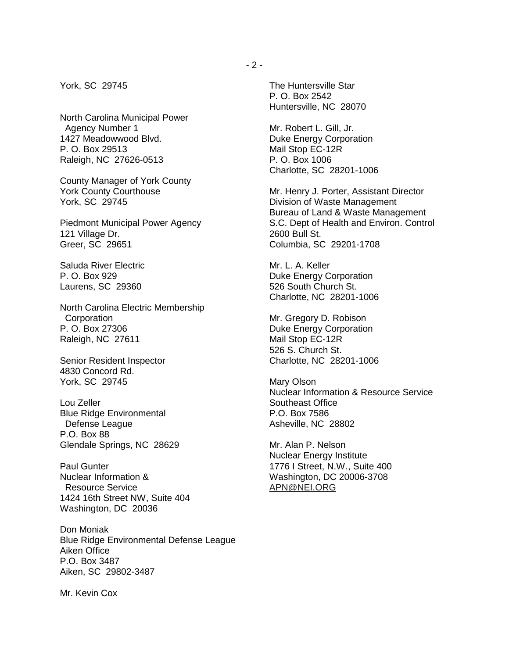York, SC 29745

North Carolina Municipal Power Agency Number 1 1427 Meadowwood Blvd. P. O. Box 29513 Raleigh, NC 27626-0513

County Manager of York County York County Courthouse York, SC 29745

Piedmont Municipal Power Agency 121 Village Dr. Greer, SC 29651

Saluda River Electric P. O. Box 929 Laurens, SC 29360

North Carolina Electric Membership **Corporation** P. O. Box 27306 Raleigh, NC 27611

Senior Resident Inspector 4830 Concord Rd. York, SC 29745

Lou Zeller Blue Ridge Environmental Defense League P.O. Box 88 Glendale Springs, NC 28629

Paul Gunter Nuclear Information & Resource Service 1424 16th Street NW, Suite 404 Washington, DC 20036

Don Moniak Blue Ridge Environmental Defense League Aiken Office P.O. Box 3487 Aiken, SC 29802-3487

Mr. Kevin Cox

The Huntersville Star P. O. Box 2542 Huntersville, NC 28070

Mr. Robert L. Gill, Jr. Duke Energy Corporation Mail Stop EC-12R P. O. Box 1006 Charlotte, SC 28201-1006

Mr. Henry J. Porter, Assistant Director Division of Waste Management Bureau of Land & Waste Management S.C. Dept of Health and Environ. Control 2600 Bull St. Columbia, SC 29201-1708

Mr. L. A. Keller Duke Energy Corporation 526 South Church St. Charlotte, NC 28201-1006

Mr. Gregory D. Robison Duke Energy Corporation Mail Stop EC-12R 526 S. Church St. Charlotte, NC 28201-1006

Mary Olson Nuclear Information & Resource Service Southeast Office P.O. Box 7586 Asheville, NC 28802

Mr. Alan P. Nelson Nuclear Energy Institute 1776 I Street, N.W., Suite 400 Washington, DC 20006-3708 APN@NEI.ORG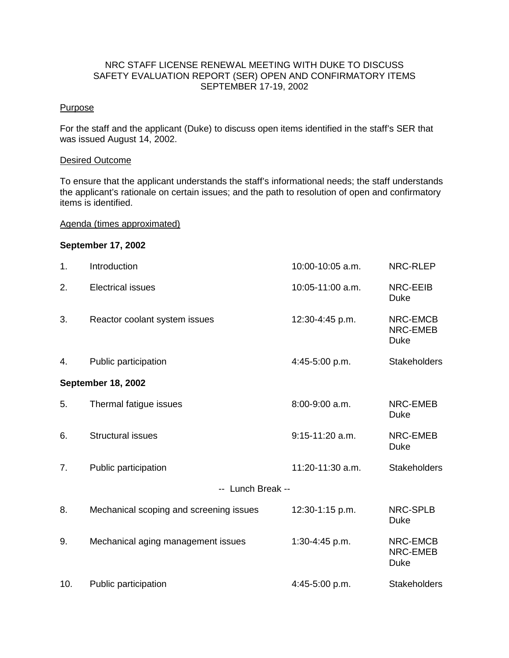# NRC STAFF LICENSE RENEWAL MEETING WITH DUKE TO DISCUSS SAFETY EVALUATION REPORT (SER) OPEN AND CONFIRMATORY ITEMS SEPTEMBER 17-19, 2002

# **Purpose**

For the staff and the applicant (Duke) to discuss open items identified in the staff's SER that was issued August 14, 2002.

# Desired Outcome

To ensure that the applicant understands the staff's informational needs; the staff understands the applicant's rationale on certain issues; and the path to resolution of open and confirmatory items is identified.

## Agenda (times approximated)

## **September 17, 2002**

| 1.                 | Introduction                            | 10:00-10:05 a.m.  | NRC-RLEP                            |
|--------------------|-----------------------------------------|-------------------|-------------------------------------|
| 2.                 | <b>Electrical issues</b>                | 10:05-11:00 a.m.  | <b>NRC-EEIB</b><br><b>Duke</b>      |
| 3.                 | Reactor coolant system issues           | 12:30-4:45 p.m.   | NRC-EMCB<br>NRC-EMEB<br><b>Duke</b> |
| 4.                 | Public participation                    | 4:45-5:00 p.m.    | <b>Stakeholders</b>                 |
| September 18, 2002 |                                         |                   |                                     |
| 5.                 | Thermal fatigue issues                  | 8:00-9:00 a.m.    | NRC-EMEB<br><b>Duke</b>             |
| 6.                 | <b>Structural issues</b>                | $9:15-11:20$ a.m. | NRC-EMEB<br><b>Duke</b>             |
| 7.                 | Public participation                    | 11:20-11:30 a.m.  | <b>Stakeholders</b>                 |
| -- Lunch Break --  |                                         |                   |                                     |
| 8.                 | Mechanical scoping and screening issues | 12:30-1:15 p.m.   | <b>NRC-SPLB</b><br><b>Duke</b>      |
| 9.                 | Mechanical aging management issues      | 1:30-4:45 p.m.    | NRC-EMCB<br>NRC-EMEB<br><b>Duke</b> |
| 10.                | Public participation                    | 4:45-5:00 p.m.    | <b>Stakeholders</b>                 |